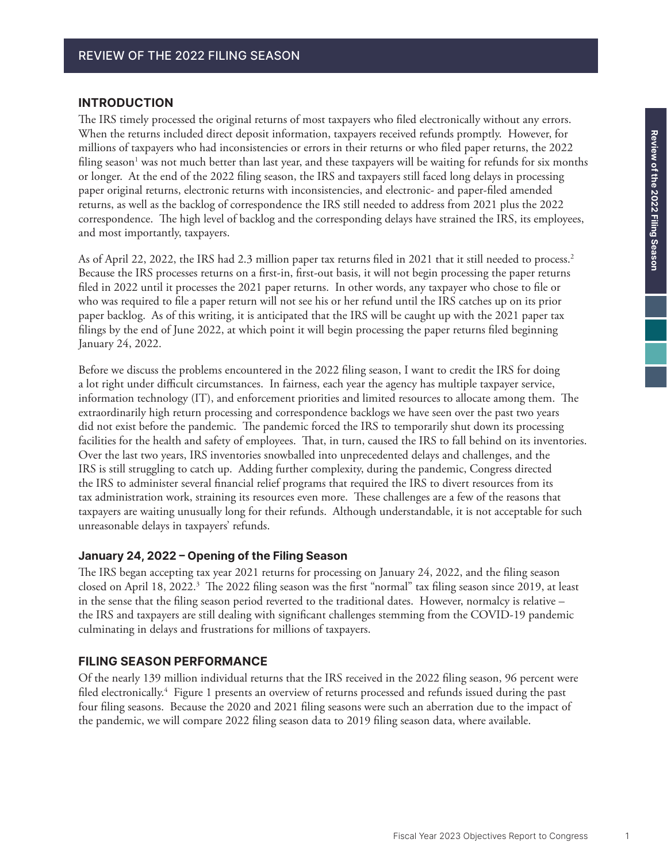#### <span id="page-0-0"></span>**INTRODUCTION**

The IRS timely processed the original returns of most taxpayers who filed electronically without any errors. When the returns included direct deposit information, taxpayers received refunds promptly. However, for millions of taxpayers who had inconsistencies or errors in their returns or who filed paper returns, the 2022 filing season<sup>[1](#page-9-0)</sup> was not much better than last year, and these taxpayers will be waiting for refunds for six months or longer. At the end of the 2022 filing season, the IRS and taxpayers still faced long delays in processing paper original returns, electronic returns with inconsistencies, and electronic- and paper-filed amended returns, as well as the backlog of correspondence the IRS still needed to address from 2021 plus the 2022 correspondence. The high level of backlog and the corresponding delays have strained the IRS, its employees, and most importantly, taxpayers.

As of April [2](#page-9-0)2, 2022, the IRS had 2.3 million paper tax returns filed in 2021 that it still needed to process.<sup>2</sup> Because the IRS processes returns on a first-in, first-out basis, it will not begin processing the paper returns filed in 2022 until it processes the 2021 paper returns. In other words, any taxpayer who chose to file or who was required to file a paper return will not see his or her refund until the IRS catches up on its prior paper backlog. As of this writing, it is anticipated that the IRS will be caught up with the 2021 paper tax filings by the end of June 2022, at which point it will begin processing the paper returns filed beginning January 24, 2022.

Before we discuss the problems encountered in the 2022 filing season, I want to credit the IRS for doing a lot right under difficult circumstances. In fairness, each year the agency has multiple taxpayer service, information technology (IT), and enforcement priorities and limited resources to allocate among them. The extraordinarily high return processing and correspondence backlogs we have seen over the past two years did not exist before the pandemic. The pandemic forced the IRS to temporarily shut down its processing facilities for the health and safety of employees. That, in turn, caused the IRS to fall behind on its inventories. Over the last two years, IRS inventories snowballed into unprecedented delays and challenges, and the IRS is still struggling to catch up. Adding further complexity, during the pandemic, Congress directed the IRS to administer several financial relief programs that required the IRS to divert resources from its tax administration work, straining its resources even more. These challenges are a few of the reasons that taxpayers are waiting unusually long for their refunds. Although understandable, it is not acceptable for such unreasonable delays in taxpayers' refunds.

#### **January 24, 2022 – Opening of the Filing Season**

The IRS began accepting tax year 2021 returns for processing on January 24, 2022, and the filing season closed on April 18, 2022.<sup>3</sup> The 2022 filing season was the first "normal" tax filing season since 2019, at least in the sense that the filing season period reverted to the traditional dates. However, normalcy is relative – the IRS and taxpayers are still dealing with significant challenges stemming from the COVID-19 pandemic culminating in delays and frustrations for millions of taxpayers.

#### **FILING SEASON PERFORMANCE**

Of the nearly 139 million individual returns that the IRS received in the 2022 filing season, 96 percent were filed electronically.<sup>[4](#page-9-0)</sup> Figure 1 presents an overview of returns processed and refunds issued during the past four filing seasons. Because the 2020 and 2021 filing seasons were such an aberration due to the impact of the pandemic, we will compare 2022 filing season data to 2019 filing season data, where available.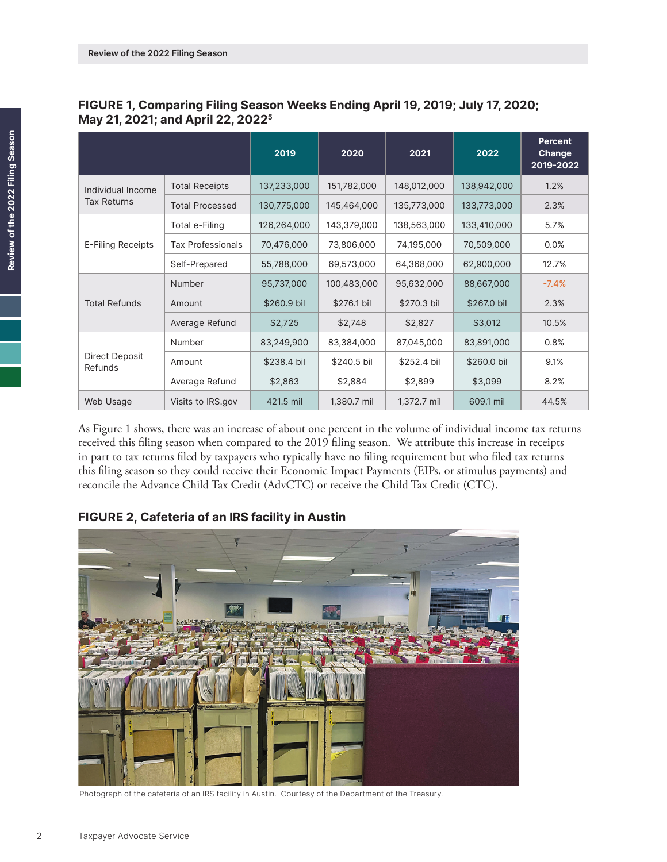|                           |                          | 2019        | 2020        | 2021        | 2022        | <b>Percent</b><br>Change<br>2019-2022 |
|---------------------------|--------------------------|-------------|-------------|-------------|-------------|---------------------------------------|
| Individual Income         | <b>Total Receipts</b>    | 137,233,000 | 151,782,000 | 148,012,000 | 138,942,000 | 1.2%                                  |
| <b>Tax Returns</b>        | <b>Total Processed</b>   | 130,775,000 | 145,464,000 | 135,773,000 | 133,773,000 | 2.3%                                  |
|                           | Total e-Filing           | 126,264,000 | 143,379,000 | 138,563,000 | 133,410,000 | 5.7%                                  |
| E-Filing Receipts         | <b>Tax Professionals</b> | 70,476,000  | 73,806,000  | 74,195,000  | 70,509,000  | 0.0%                                  |
|                           | Self-Prepared            | 55,788,000  | 69,573,000  | 64,368,000  | 62,900,000  | 12.7%                                 |
| <b>Total Refunds</b>      | Number                   | 95,737,000  | 100,483,000 | 95,632,000  | 88,667,000  | $-7.4%$                               |
|                           | Amount                   | \$260.9 bil | \$276.1 bil | \$270.3 bil | \$267.0 bil | 2.3%                                  |
|                           | Average Refund           | \$2,725     | \$2,748     | \$2,827     | \$3,012     | 10.5%                                 |
| Direct Deposit<br>Refunds | Number                   | 83,249,900  | 83,384,000  | 87,045,000  | 83,891,000  | 0.8%                                  |
|                           | Amount                   | \$238.4 bil | \$240.5 bil | \$252.4 bil | \$260.0 bil | 9.1%                                  |
|                           | Average Refund           | \$2,863     | \$2,884     | \$2,899     | \$3,099     | 8.2%                                  |
| Web Usage                 | Visits to IRS.gov        | 421.5 mil   | 1,380.7 mil | 1,372.7 mil | 609.1 mil   | 44.5%                                 |

### <span id="page-1-0"></span>**FIGURE 1, Comparing Filing Season Weeks Ending April 19, 2019; July 17, 2020; May 21, 2021; and April 22, 2022[5](#page-9-0)**

As Figure 1 shows, there was an increase of about one percent in the volume of individual income tax returns received this filing season when compared to the 2019 filing season. We attribute this increase in receipts in part to tax returns filed by taxpayers who typically have no filing requirement but who filed tax returns this filing season so they could receive their Economic Impact Payments (EIPs, or stimulus payments) and reconcile the Advance Child Tax Credit (AdvCTC) or receive the Child Tax Credit (CTC).

## **FIGURE 2, Cafeteria of an IRS facility in Austin**



Photograph of the cafeteria of an IRS facility in Austin. Courtesy of the Department of the Treasury.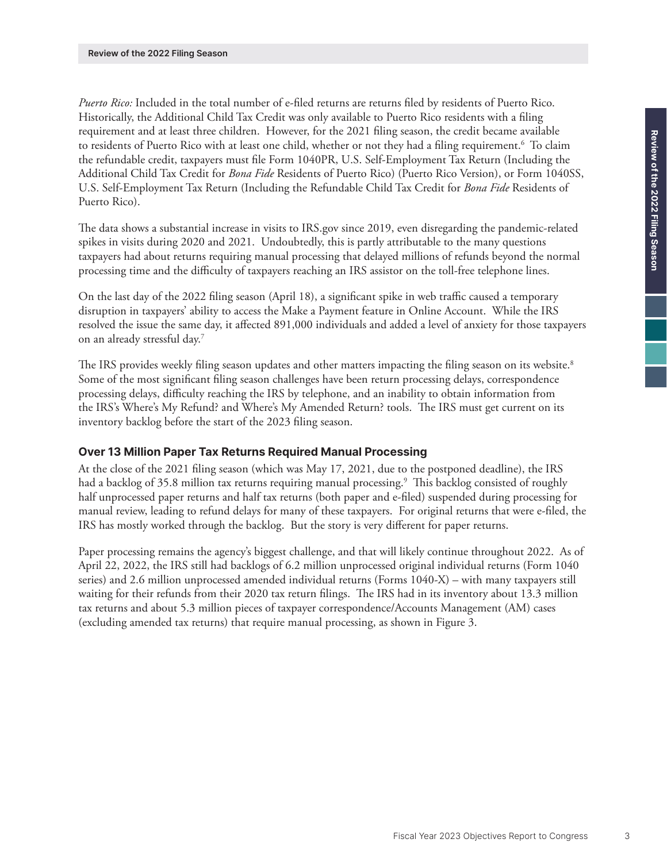<span id="page-2-0"></span>*Puerto Rico:* Included in the total number of e-filed returns are returns filed by residents of Puerto Rico. Historically, the Additional Child Tax Credit was only available to Puerto Rico residents with a filing requirement and at least three children. However, for the 2021 filing season, the credit became available to residents of Puerto Rico with at least one child, whether or not they had a filing requirement[.6](#page-9-0) To claim the refundable credit, taxpayers must file Form 1040PR, U.S. Self-Employment Tax Return (Including the Additional Child Tax Credit for *Bona Fide* Residents of Puerto Rico) (Puerto Rico Version), or Form 1040SS, U.S. Self-Employment Tax Return (Including the Refundable Child Tax Credit for *Bona Fide* Residents of Puerto Rico).

The data shows a substantial increase in visits to IRS.gov since 2019, even disregarding the pandemic-related spikes in visits during 2020 and 2021. Undoubtedly, this is partly attributable to the many questions taxpayers had about returns requiring manual processing that delayed millions of refunds beyond the normal processing time and the difficulty of taxpayers reaching an IRS assistor on the toll-free telephone lines.

On the last day of the 2022 filing season (April 18), a significant spike in web traffic caused a temporary disruption in taxpayers' ability to access the Make a Payment feature in Online Account. While the IRS resolved the issue the same day, it affected 891,000 individuals and added a level of anxiety for those taxpayers on an already stressful day[.7](#page-9-0)

The IRS provides weekly filing season updates and other matters impacting the filing season on its website.<sup>[8](#page-9-0)</sup> Some of the most significant filing season challenges have been return processing delays, correspondence processing delays, difficulty reaching the IRS by telephone, and an inability to obtain information from the IRS's Where's My Refund? and Where's My Amended Return? tools. The IRS must get current on its inventory backlog before the start of the 2023 filing season.

### **Over 13 Million Paper Tax Returns Required Manual Processing**

At the close of the 2021 filing season (which was May 17, 2021, due to the postponed deadline), the IRS had a backlog of 35.8 million tax returns requiring manual processing.<sup>[9](#page-9-0)</sup> This backlog consisted of roughly half unprocessed paper returns and half tax returns (both paper and e-filed) suspended during processing for manual review, leading to refund delays for many of these taxpayers. For original returns that were e-filed, the IRS has mostly worked through the backlog. But the story is very different for paper returns.

Paper processing remains the agency's biggest challenge, and that will likely continue throughout 2022. As of April 22, 2022, the IRS still had backlogs of 6.2 million unprocessed original individual returns (Form 1040 series) and 2.6 million unprocessed amended individual returns (Forms 1040-X) – with many taxpayers still waiting for their refunds from their 2020 tax return filings. The IRS had in its inventory about 13.3 million tax returns and about 5.3 million pieces of taxpayer correspondence/Accounts Management (AM) cases (excluding amended tax returns) that require manual processing, as shown in Figure 3.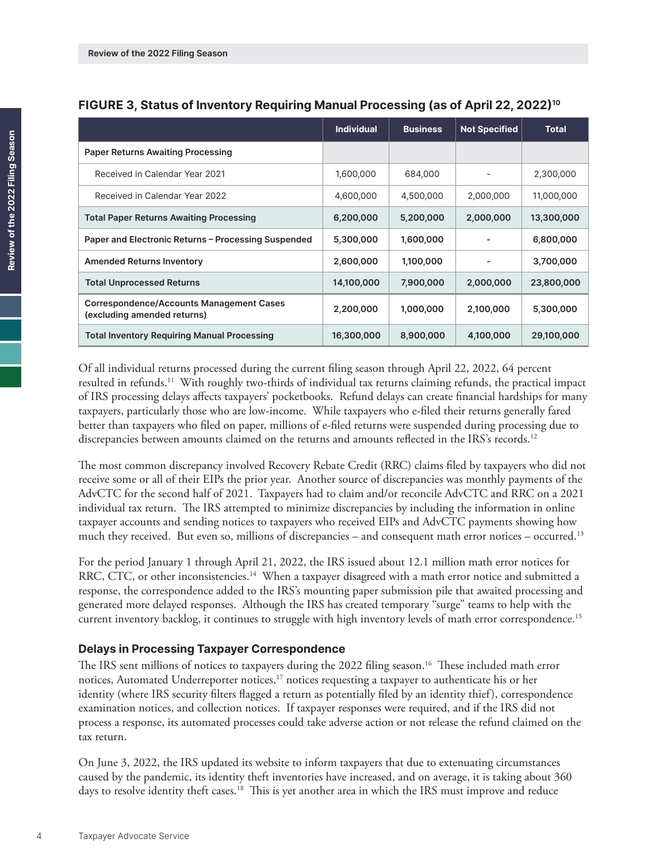|                                                                                | <b>Individual</b> | <b>Business</b> | <b>Not Specified</b> | <b>Total</b> |
|--------------------------------------------------------------------------------|-------------------|-----------------|----------------------|--------------|
| <b>Paper Returns Awaiting Processing</b>                                       |                   |                 |                      |              |
| Received in Calendar Year 2021                                                 | 1,600,000         | 684,000         |                      | 2,300,000    |
| Received in Calendar Year 2022                                                 | 4,600,000         | 4,500,000       | 2,000,000            | 11,000,000   |
| <b>Total Paper Returns Awaiting Processing</b>                                 | 6,200,000         | 5,200,000       | 2,000,000            | 13,300,000   |
| Paper and Electronic Returns - Processing Suspended                            | 5,300,000         | 1,600,000       |                      | 6,800,000    |
| <b>Amended Returns Inventory</b>                                               | 2,600,000         | 1,100,000       |                      | 3,700,000    |
| <b>Total Unprocessed Returns</b>                                               | 14,100,000        | 7,900,000       | 2,000,000            | 23,800,000   |
| <b>Correspondence/Accounts Management Cases</b><br>(excluding amended returns) | 2,200,000         | 1,000,000       | 2,100,000            | 5,300,000    |
| <b>Total Inventory Requiring Manual Processing</b>                             | 16,300,000        | 8,900,000       | 4,100,000            | 29,100,000   |

### <span id="page-3-0"></span>**FIGURE 3, Status of Inventory Requiring Manual Processing (as of April 22, 2022[\)10](#page-9-0)**

Of all individual returns processed during the current filing season through April 22, 2022, 64 percent resulted in refunds.<sup>[11](#page-9-0)</sup> With roughly two-thirds of individual tax returns claiming refunds, the practical impact of IRS processing delays affects taxpayers' pocketbooks. Refund delays can create financial hardships for many taxpayers, particularly those who are low-income. While taxpayers who e-filed their returns generally fared better than taxpayers who filed on paper, millions of e-filed returns were suspended during processing due to discrepancies between amounts claimed on the returns and amounts reflected in the IRS's records.<sup>[12](#page-9-0)</sup>

The most common discrepancy involved Recovery Rebate Credit (RRC) claims filed by taxpayers who did not receive some or all of their EIPs the prior year. Another source of discrepancies was monthly payments of the AdvCTC for the second half of 2021. Taxpayers had to claim and/or reconcile AdvCTC and RRC on a 2021 individual tax return. The IRS attempted to minimize discrepancies by including the information in online taxpayer accounts and sending notices to taxpayers who received EIPs and AdvCTC payments showing how much they received. But even so, millions of discrepancies – and consequent math error notices – occurred.[13](#page-9-0)

For the period January 1 through April 21, 2022, the IRS issued about 12.1 million math error notices for RRC, CTC, or other inconsistencies.<sup>14</sup> When a taxpayer disagreed with a math error notice and submitted a response, the correspondence added to the IRS's mounting paper submission pile that awaited processing and generated more delayed responses. Although the IRS has created temporary "surge" teams to help with the current inventory backlog, it continues to struggle with high inventory levels of math error correspondence[.15](#page-9-0)

### **Delays in Processing Taxpayer Correspondence**

The IRS sent millions of notices to taxpayers during the 2022 filing season.<sup>16</sup> These included math error notices, Automated Underreporter notices,<sup>[17](#page-9-0)</sup> notices requesting a taxpayer to authenticate his or her identity (where IRS security filters flagged a return as potentially filed by an identity thief), correspondence examination notices, and collection notices. If taxpayer responses were required, and if the IRS did not process a response, its automated processes could take adverse action or not release the refund claimed on the tax return.

On June 3, 2022, the IRS updated its website to inform taxpayers that due to extenuating circumstances caused by the pandemic, its identity theft inventories have increased, and on average, it is taking about 360 days to resolve identity theft cases.<sup>18</sup> This is yet another area in which the IRS must improve and reduce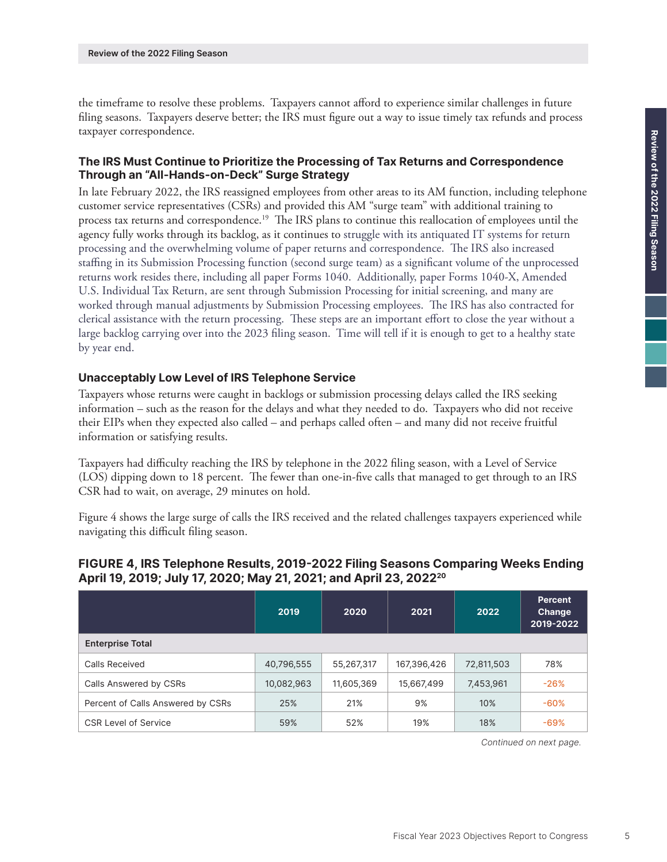<span id="page-4-0"></span>the timeframe to resolve these problems. Taxpayers cannot afford to experience similar challenges in future filing seasons. Taxpayers deserve better; the IRS must figure out a way to issue timely tax refunds and process taxpayer correspondence.

### **The IRS Must Continue to Prioritize the Processing of Tax Returns and Correspondence Through an "All-Hands-on-Deck" Surge Strategy**

In late February 2022, the IRS reassigned employees from other areas to its AM function, including telephone customer service representatives (CSRs) and provided this AM "surge team" with additional training to process tax returns and correspondence[.19](#page-9-0) The IRS plans to continue this reallocation of employees until the agency fully works through its backlog, as it continues to struggle with its antiquated IT systems for return processing and the overwhelming volume of paper returns and correspondence. The IRS also increased staffing in its Submission Processing function (second surge team) as a significant volume of the unprocessed returns work resides there, including all paper Forms 1040. Additionally, paper Forms 1040-X, Amended U.S. Individual Tax Return, are sent through Submission Processing for initial screening, and many are worked through manual adjustments by Submission Processing employees. The IRS has also contracted for clerical assistance with the return processing. These steps are an important effort to close the year without a large backlog carrying over into the 2023 filing season. Time will tell if it is enough to get to a healthy state by year end.

#### **Unacceptably Low Level of IRS Telephone Service**

Taxpayers whose returns were caught in backlogs or submission processing delays called the IRS seeking information – such as the reason for the delays and what they needed to do. Taxpayers who did not receive their EIPs when they expected also called – and perhaps called often – and many did not receive fruitful information or satisfying results.

Taxpayers had difficulty reaching the IRS by telephone in the 2022 filing season, with a Level of Service (LOS) dipping down to 18 percent. The fewer than one-in-five calls that managed to get through to an IRS CSR had to wait, on average, 29 minutes on hold.

Figure 4 shows the large surge of calls the IRS received and the related challenges taxpayers experienced while navigating this difficult filing season.

### **FIGURE 4, IRS Telephone Results, 2019-2022 Filing Seasons Comparing Weeks Ending April 19, 2019; July 17, 2020; May 21, 2021; and April 23, 2022[20](#page-9-0)**

|                                   | 2019       | 2020       | 2021        | 2022       | <b>Percent</b><br>Change<br>2019-2022 |
|-----------------------------------|------------|------------|-------------|------------|---------------------------------------|
| <b>Enterprise Total</b>           |            |            |             |            |                                       |
| Calls Received                    | 40,796,555 | 55,267,317 | 167,396,426 | 72,811,503 | 78%                                   |
| Calls Answered by CSRs            | 10,082,963 | 11,605,369 | 15,667,499  | 7,453,961  | $-26%$                                |
| Percent of Calls Answered by CSRs | 25%        | 21%        | 9%          | 10%        | $-60%$                                |
| <b>CSR Level of Service</b>       | 59%        | 52%        | 19%         | 18%        | $-69%$                                |

*Continued on next page.*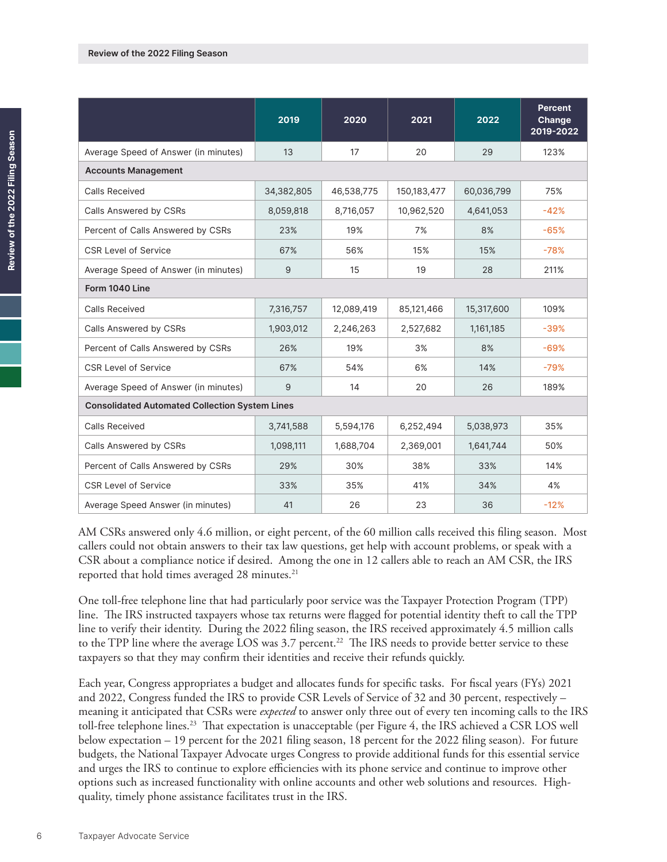<span id="page-5-0"></span>

|                                      | 2019                                                  | 2020       | 2021        | 2022       | <b>Percent</b><br>Change<br>$2019 - 2022$ |  |
|--------------------------------------|-------------------------------------------------------|------------|-------------|------------|-------------------------------------------|--|
| Average Speed of Answer (in minutes) | 13                                                    | 17         | 20          | 29         | 123%                                      |  |
| <b>Accounts Management</b>           |                                                       |            |             |            |                                           |  |
| <b>Calls Received</b>                | 34,382,805                                            | 46,538,775 | 150,183,477 | 60,036,799 | 75%                                       |  |
| Calls Answered by CSRs               | 8,059,818                                             | 8,716,057  | 10,962,520  | 4,641,053  | $-42%$                                    |  |
| Percent of Calls Answered by CSRs    | 23%                                                   | 19%        | 7%          | 8%         | $-65%$                                    |  |
| <b>CSR Level of Service</b>          | 67%                                                   | 56%        | 15%         | 15%        | $-78%$                                    |  |
| Average Speed of Answer (in minutes) | 9                                                     | 15         | 19          | 28         | 211%                                      |  |
| Form 1040 Line                       |                                                       |            |             |            |                                           |  |
| <b>Calls Received</b>                | 7,316,757                                             | 12,089,419 | 85,121,466  | 15,317,600 | 109%                                      |  |
| Calls Answered by CSRs               | 1,903,012                                             | 2,246,263  | 2,527,682   | 1,161,185  | $-39%$                                    |  |
| Percent of Calls Answered by CSRs    | 26%                                                   | 19%        | 3%          | 8%         | $-69%$                                    |  |
| <b>CSR Level of Service</b>          | 67%                                                   | 54%        | 6%          | 14%        | $-79%$                                    |  |
| Average Speed of Answer (in minutes) | 9                                                     | 14         | 20          | 26         | 189%                                      |  |
|                                      | <b>Consolidated Automated Collection System Lines</b> |            |             |            |                                           |  |
| <b>Calls Received</b>                | 3,741,588                                             | 5,594,176  | 6,252,494   | 5,038,973  | 35%                                       |  |
| Calls Answered by CSRs               | 1,098,111                                             | 1,688,704  | 2,369,001   | 1,641,744  | 50%                                       |  |
| Percent of Calls Answered by CSRs    | 29%                                                   | 30%        | 38%         | 33%        | 14%                                       |  |
| <b>CSR Level of Service</b>          | 33%                                                   | 35%        | 41%         | 34%        | 4%                                        |  |
| Average Speed Answer (in minutes)    | 41                                                    | 26         | 23          | 36         | $-12%$                                    |  |

AM CSRs answered only 4.6 million, or eight percent, of the 60 million calls received this filing season. Most callers could not obtain answers to their tax law questions, get help with account problems, or speak with a CSR about a compliance notice if desired. Among the one in 12 callers able to reach an AM CSR, the IRS reported that hold times averaged 28 minutes. [21](#page-9-0)

One toll-free telephone line that had particularly poor service was the Taxpayer Protection Program (TPP) line. The IRS instructed taxpayers whose tax returns were flagged for potential identity theft to call the TPP line to verify their identity. During the 2022 filing season, the IRS received approximately 4.5 million calls to the TPP line where the average LOS was 3.7 percent.<sup>[22](#page-9-0)</sup> The IRS needs to provide better service to these taxpayers so that they may confirm their identities and receive their refunds quickly.

Each year, Congress appropriates a budget and allocates funds for specific tasks. For fiscal years (FYs) 2021 and 2022, Congress funded the IRS to provide CSR Levels of Service of 32 and 30 percent, respectively – meaning it anticipated that CSRs were *expected* to answer only three out of every ten incoming calls to the IRS toll-free telephone lines[.23](#page-9-0) That expectation is unacceptable (per Figure 4, the IRS achieved a CSR LOS well below expectation – 19 percent for the 2021 filing season, 18 percent for the 2022 filing season). For future budgets, the National Taxpayer Advocate urges Congress to provide additional funds for this essential service and urges the IRS to continue to explore efficiencies with its phone service and continue to improve other options such as increased functionality with online accounts and other web solutions and resources. Highquality, timely phone assistance facilitates trust in the IRS.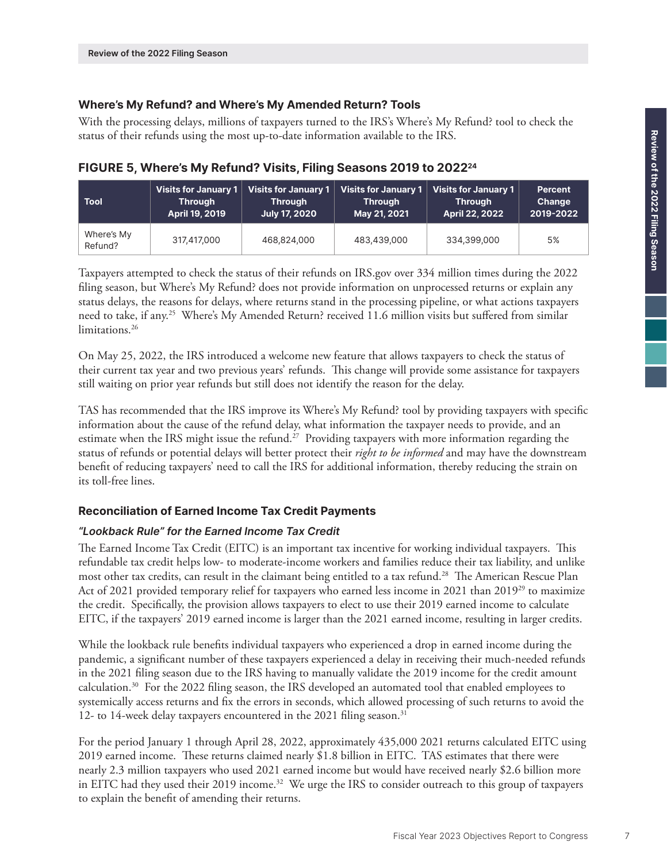## <span id="page-6-0"></span>**Where's My Refund? and Where's My Amended Return? Tools**

With the processing delays, millions of taxpayers turned to the IRS's Where's My Refund? tool to check the status of their refunds using the most up-to-date information available to the IRS.

# **FIGURE 5, Where's My Refund? Visits, Filing Seasons 2019 to 2022[24](#page-9-0)**

| <b>Tool</b>           | <b>Visits for January 1</b> | <b>Visits for January 1</b> | Visits for January 1 | <b>Visits for January 1</b> | <b>Percent</b> |
|-----------------------|-----------------------------|-----------------------------|----------------------|-----------------------------|----------------|
|                       | <b>Through</b>              | <b>Through</b>              | <b>Through</b>       | <b>Through</b>              | Change         |
|                       | April 19, 2019              | <b>July 17, 2020</b>        | May 21, 2021         | April 22, 2022              | 2019-2022      |
| Where's My<br>Refund? | 317,417,000                 | 468,824,000                 | 483,439,000          | 334,399,000                 | 5%             |

Taxpayers attempted to check the status of their refunds on IRS.gov over 334 million times during the 2022 filing season, but Where's My Refund? does not provide information on unprocessed returns or explain any status delays, the reasons for delays, where returns stand in the processing pipeline, or what actions taxpayers need to take, if any.<sup>[25](#page-9-0)</sup> Where's My Amended Return? received 11.6 million visits but suffered from similar limitations.<sup>26</sup>

On May 25, 2022, the IRS introduced a welcome new feature that allows taxpayers to check the status of their current tax year and two previous years' refunds. This change will provide some assistance for taxpayers still waiting on prior year refunds but still does not identify the reason for the delay.

TAS has recommended that the IRS improve its Where's My Refund? tool by providing taxpayers with specific information about the cause of the refund delay, what information the taxpayer needs to provide, and an estimate when the IRS might issue the refund.<sup>27</sup> Providing taxpayers with more information regarding the status of refunds or potential delays will better protect their *right to be informed* and may have the downstream benefit of reducing taxpayers' need to call the IRS for additional information, thereby reducing the strain on its toll-free lines.

## **Reconciliation of Earned Income Tax Credit Payments**

## *"Lookback Rule" for the Earned Income Tax Credit*

The Earned Income Tax Credit (EITC) is an important tax incentive for working individual taxpayers. This refundable tax credit helps low- to moderate-income workers and families reduce their tax liability, and unlike most other tax credits, can result in the claimant being entitled to a tax refund.[28](#page-10-0) The American Rescue Plan Act of 2021 provided temporary relief for taxpayers who earned less income in 2021 than 2019<sup>[29](#page-10-0)</sup> to maximize the credit. Specifically, the provision allows taxpayers to elect to use their 2019 earned income to calculate EITC, if the taxpayers' 2019 earned income is larger than the 2021 earned income, resulting in larger credits.

While the lookback rule benefits individual taxpayers who experienced a drop in earned income during the pandemic, a significant number of these taxpayers experienced a delay in receiving their much-needed refunds in the 2021 filing season due to the IRS having to manually validate the 2019 income for the credit amount calculation.[30](#page-10-0) For the 2022 filing season, the IRS developed an automated tool that enabled employees to systemically access returns and fix the errors in seconds, which allowed processing of such returns to avoid the 12- to 14-week delay taxpayers encountered in the 2021 filing season.<sup>[31](#page-10-0)</sup>

For the period January 1 through April 28, 2022, approximately 435,000 2021 returns calculated EITC using 2019 earned income. These returns claimed nearly \$1.8 billion in EITC. TAS estimates that there were nearly 2.3 million taxpayers who used 2021 earned income but would have received nearly \$2.6 billion more in EITC had they used their 2019 income.<sup>[32](#page-10-0)</sup> We urge the IRS to consider outreach to this group of taxpayers to explain the benefit of amending their returns.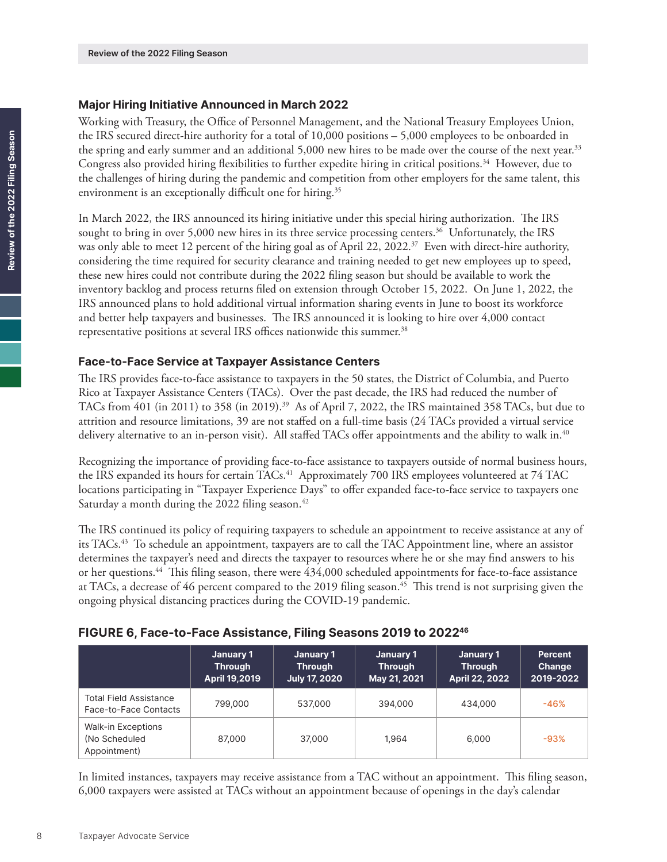### <span id="page-7-0"></span>**Major Hiring Initiative Announced in March 2022**

Working with Treasury, the Office of Personnel Management, and the National Treasury Employees Union, the IRS secured direct-hire authority for a total of 10,000 positions – 5,000 employees to be onboarded in the spring and early summer and an additional 5,000 new hires to be made over the course of the next year.<sup>33</sup> Congress also provided hiring flexibilities to further expedite hiring in critical positions.<sup>34</sup> However, due to the challenges of hiring during the pandemic and competition from other employers for the same talent, this environment is an exceptionally difficult one for hiring.<sup>35</sup>

In March 2022, the IRS announced its hiring initiative under this special hiring authorization. The IRS sought to bring in over 5,000 new hires in its three service processing centers.<sup>36</sup> Unfortunately, the IRS was only able to meet 12 percent of the hiring goal as of April 22, 2022.<sup>[37](#page-10-0)</sup> Even with direct-hire authority, considering the time required for security clearance and training needed to get new employees up to speed, these new hires could not contribute during the 2022 filing season but should be available to work the inventory backlog and process returns filed on extension through October 15, 2022. On June 1, 2022, the IRS announced plans to hold additional virtual information sharing events in June to boost its workforce and better help taxpayers and businesses. The IRS announced it is looking to hire over 4,000 contact representative positions at several IRS offices nationwide this summer.<sup>38</sup>

### **Face-to-Face Service at Taxpayer Assistance Centers**

The IRS provides face-to-face assistance to taxpayers in the 50 states, the District of Columbia, and Puerto Rico at Taxpayer Assistance Centers (TACs). Over the past decade, the IRS had reduced the number of TACs from 401 (in 2011) to 358 (in 2019).<sup>39</sup> As of April 7, 2022, the IRS maintained 358 TACs, but due to attrition and resource limitations, 39 are not staffed on a full-time basis (24 TACs provided a virtual service delivery alternative to an in-person visit). All staffed TACs offer appointments and the ability to walk in.<sup>40</sup>

Recognizing the importance of providing face-to-face assistance to taxpayers outside of normal business hours, the IRS expanded its hours for certain TACs.<sup>[41](#page-10-0)</sup> Approximately 700 IRS employees volunteered at 74 TAC locations participating in "Taxpayer Experience Days" to offer expanded face-to-face service to taxpayers one Saturday a month during the 2022 filing season.<sup>42</sup>

The IRS continued its policy of requiring taxpayers to schedule an appointment to receive assistance at any of its TACs[.43](#page-10-0) To schedule an appointment, taxpayers are to call the TAC Appointment line, where an assistor determines the taxpayer's need and directs the taxpayer to resources where he or she may find answers to his or her questions.[44](#page-10-0) This filing season, there were 434,000 scheduled appointments for face-to-face assistance at TACs, a decrease of 46 percent compared to the 2019 filing season.<sup>45</sup> This trend is not surprising given the ongoing physical distancing practices during the COVID-19 pandemic.

### **FIGURE 6, Face-to-Face Assistance, Filing Seasons 2019 to 2022[46](#page-10-0)**

|                                                            | January 1<br><b>Through</b><br>April 19,2019 | January 1<br><b>Through</b><br><b>July 17, 2020</b> | January 1<br><b>Through</b><br>May 21, 2021 | January 1<br><b>Through</b><br>April 22, 2022 | <b>Percent</b><br>Change<br>2019-2022 |
|------------------------------------------------------------|----------------------------------------------|-----------------------------------------------------|---------------------------------------------|-----------------------------------------------|---------------------------------------|
| <b>Total Field Assistance</b><br>Face-to-Face Contacts     | 799,000                                      | 537,000                                             | 394,000                                     | 434,000                                       | $-46%$                                |
| <b>Walk-in Exceptions</b><br>(No Scheduled<br>Appointment) | 87,000                                       | 37,000                                              | 1.964                                       | 6,000                                         | $-93%$                                |

In limited instances, taxpayers may receive assistance from a TAC without an appointment. This filing season, 6,000 taxpayers were assisted at TACs without an appointment because of openings in the day's calendar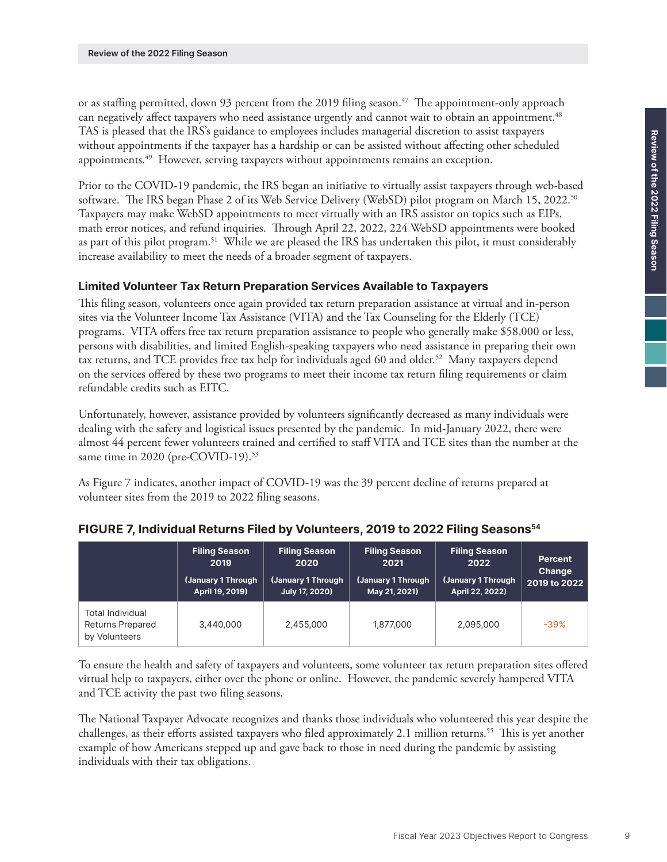<span id="page-8-0"></span>or as staffing permitted, down 93 percent from the 2019 filing season.<sup>[47](#page-10-0)</sup> The appointment-only approach can negatively affect taxpayers who need assistance urgently and cannot wait to obtain an appointment.<sup>[48](#page-10-0)</sup> TAS is pleased that the IRS's guidance to employees includes managerial discretion to assist taxpayers without appointments if the taxpayer has a hardship or can be assisted without affecting other scheduled appointments[.49](#page-10-0) However, serving taxpayers without appointments remains an exception.

Prior to the COVID-19 pandemic, the IRS began an initiative to virtually assist taxpayers through web-based software. The IRS began Phase 2 of its Web Service Delivery (WebSD) pilot program on March 15, 2022.<sup>[50](#page-10-0)</sup> Taxpayers may make WebSD appointments to meet virtually with an IRS assistor on topics such as EIPs, math error notices, and refund inquiries. Through April 22, 2022, 224 WebSD appointments were booked as part of this pilot program.[51](#page-10-0) While we are pleased the IRS has undertaken this pilot, it must considerably increase availability to meet the needs of a broader segment of taxpayers.

### **Limited Volunteer Tax Return Preparation Services Available to Taxpayers**

This filing season, volunteers once again provided tax return preparation assistance at virtual and in-person sites via the Volunteer Income Tax Assistance (VITA) and the Tax Counseling for the Elderly (TCE) programs. VITA offers free tax return preparation assistance to people who generally make \$58,000 or less, persons with disabilities, and limited English-speaking taxpayers who need assistance in preparing their own tax returns, and TCE provides free tax help for individuals aged 60 and older.<sup>[52](#page-10-0)</sup> Many taxpayers depend on the services offered by these two programs to meet their income tax return filing requirements or claim refundable credits such as EITC.

Unfortunately, however, assistance provided by volunteers significantly decreased as many individuals were dealing with the safety and logistical issues presented by the pandemic. In mid-January 2022, there were almost 44 percent fewer volunteers trained and certified to staff VITA and TCE sites than the number at the same time in 2020 (pre-COVID-19).<sup>53</sup>

As Figure 7 indicates, another impact of COVID-19 was the 39 percent decline of returns prepared at volunteer sites from the 2019 to 2022 filing seasons.

|                                                                     | <b>Filing Season</b><br>2019<br>(January 1 Through<br>April 19, 2019) | <b>Filing Season</b><br>2020<br>(January 1 Through<br>July 17, 2020) | <b>Filing Season</b><br>2021<br>(January 1 Through<br>May 21, 2021) | <b>Filing Season</b><br>2022<br>(January 1 Through<br>April 22, 2022) | <b>Percent</b><br>Change<br>2019 to 2022 |
|---------------------------------------------------------------------|-----------------------------------------------------------------------|----------------------------------------------------------------------|---------------------------------------------------------------------|-----------------------------------------------------------------------|------------------------------------------|
| <b>Total Individual</b><br><b>Returns Prepared</b><br>by Volunteers | 3,440,000                                                             | 2,455,000                                                            | 1,877,000                                                           | 2,095,000                                                             | $-39%$                                   |

### **FIGURE 7, Individual Returns Filed by Volunteers, 2019 to 2022 Filing Seasons[54](#page-10-0)**

To ensure the health and safety of taxpayers and volunteers, some volunteer tax return preparation sites offered virtual help to taxpayers, either over the phone or online. However, the pandemic severely hampered VITA and TCE activity the past two filing seasons.

The National Taxpayer Advocate recognizes and thanks those individuals who volunteered this year despite the challenges, as their efforts assisted taxpayers who filed approximately 2.1 million returns.<sup>[55](#page-10-0)</sup> This is yet another example of how Americans stepped up and gave back to those in need during the pandemic by assisting individuals with their tax obligations.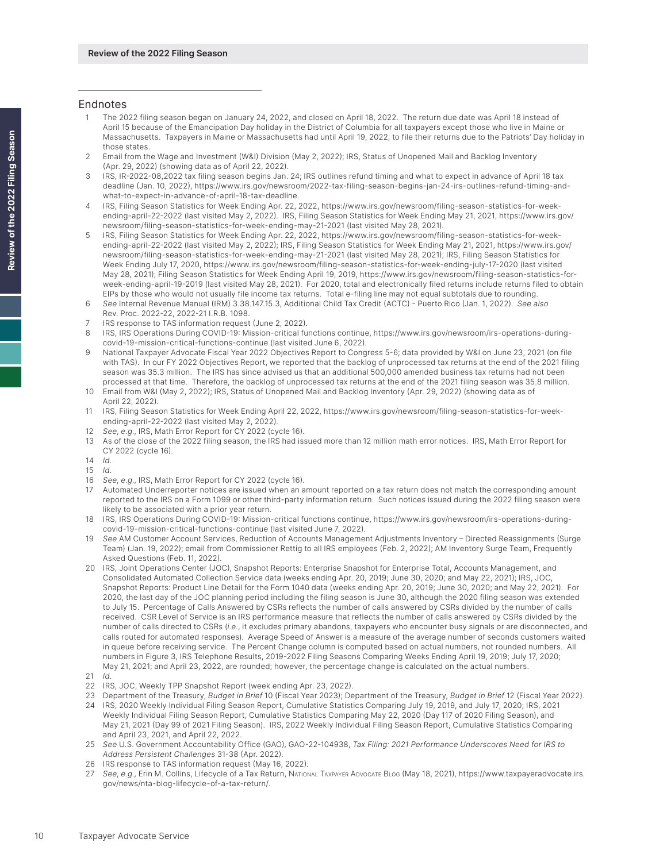#### <span id="page-9-0"></span>Endnotes

- [1](#page-0-0) The 2022 filing season began on January 24, 2022, and closed on April 18, 2022. The return due date was April 18 instead of April 15 because of the Emancipation Day holiday in the District of Columbia for all taxpayers except those who live in Maine or Massachusetts. Taxpayers in Maine or Massachusetts had until April 19, 2022, to file their returns due to the Patriots' Day holiday in those states.
- [2](#page-0-0)  Email from the Wage and Investment (W&I) Division (May 2, 2022); IRS, Status of Unopened Mail and Backlog Inventory (Apr. 29, 2022) (showing data as of April 22, 2022).
- [3](#page-0-0) IRS, IR-2022-08,2022 tax filing season begins Jan. 24; IRS outlines refund timing and what to expect in advance of April 18 tax deadline (Jan. 10, 2022), [https://www.irs.gov/newsroom/2022-tax-filing-season-begins-jan-24-irs-outlines-refund-timing-and](https://www.irs.gov/newsroom/2022-tax-filing-season-begins-jan-24-irs-outlines-refund-timing-and-what-to-expect-in-advance-of-april-18-tax-deadline)[what-to-expect-in-advance-of-april-18-tax-deadline](https://www.irs.gov/newsroom/2022-tax-filing-season-begins-jan-24-irs-outlines-refund-timing-and-what-to-expect-in-advance-of-april-18-tax-deadline).
- [4](#page-0-0) IRS, Filing Season Statistics for Week Ending Apr. 22, 2022, [https://www.irs.gov/newsroom/filing-season-statistics-for-week](https://www.irs.gov/newsroom/filing-season-statistics-for-week-ending-april-22-2022)[ending-april-22-2022](https://www.irs.gov/newsroom/filing-season-statistics-for-week-ending-april-22-2022) (last visited May 2, 2022). IRS, Filing Season Statistics for Week Ending May 21, 2021, [https://www.irs.gov/](https://www.irs.gov/newsroom/filing-season-statistics-for-week-ending-may-21-2021) [newsroom/filing-season-statistics-for-week-ending-may-21-2021](https://www.irs.gov/newsroom/filing-season-statistics-for-week-ending-may-21-2021) (last visited May 28, 2021).
- [5](#page-1-0)  IRS, Filing Season Statistics for Week Ending Apr. 22, 2022, [https://www.irs.gov/newsroom/filing-season-statistics-for-week](https://www.irs.gov/newsroom/filing-season-statistics-for-week-ending-april-22-2022)[ending-april-22-2022](https://www.irs.gov/newsroom/filing-season-statistics-for-week-ending-april-22-2022) (last visited May 2, 2022); IRS, Filing Season Statistics for Week Ending May 21, 2021, [https://www.irs.gov/](https://www.irs.gov/newsroom/filing-season-statistics-for-week-ending-may-21-2021) [newsroom/filing-season-statistics-for-week-ending-may-21-2021](https://www.irs.gov/newsroom/filing-season-statistics-for-week-ending-may-21-2021) (last visited May 28, 2021); IRS, Filing Season Statistics for Week Ending July 17, 2020, <https://www.irs.gov/newsroom/filing-season-statistics-for-week-ending-july-17-2020> (last visited May 28, 2021); Filing Season Statistics for Week Ending April 19, 2019, [https://www.irs.gov/newsroom/filing-season-statistics-for](https://www.irs.gov/newsroom/filing-season-statistics-for-week-ending-april-19-2019)[week-ending-april-19-2019](https://www.irs.gov/newsroom/filing-season-statistics-for-week-ending-april-19-2019) (last visited May 28, 2021). For 2020, total and electronically filed returns include returns filed to obtain EIPs by those who would not usually file income tax returns. Total e-filing line may not equal subtotals due to rounding.
- [6](#page-2-0) *See* Internal Revenue Manual (IRM) 3.38.147.15.3, Additional Child Tax Credit (ACTC) Puerto Rico (Jan. 1, 2022). *See also* Rev. Proc. 2022-22, 2022-21 I.R.B. 1098.
- 7 IRS response to TAS information request (June 2, 2022).
- [8](#page-2-0)  IRS, IRS Operations During COVID-19: Mission-critical functions continue, [https://www.irs.gov/newsroom/irs-operations-during](https://www.irs.gov/newsroom/irs-operations-during-covid-19-mission-critical-functions-continue)[covid-19-mission-critical-functions-continue](https://www.irs.gov/newsroom/irs-operations-during-covid-19-mission-critical-functions-continue) (last visited June 6, 2022).
- [9](#page-2-0)  National Taxpayer Advocate Fiscal Year 2022 Objectives Report to Congress 5-6; data provided by W&I on June 23, 2021 (on file with TAS). In our FY 2022 Objectives Report, we reported that the backlog of unprocessed tax returns at the end of the 2021 filing season was 35.3 million. The IRS has since advised us that an additional 500,000 amended business tax returns had not been processed at that time. Therefore, the backlog of unprocessed tax returns at the end of the 2021 filing season was 35.8 million.
- [10](#page-3-0) Email from W&I (May 2, 2022); IRS, Status of Unopened Mail and Backlog Inventory (Apr. 29, 2022) (showing data as of April 22, 2022).
- [11](#page-3-0) IRS, Filing Season Statistics for Week Ending April 22, 2022, [https://www.irs.gov/newsroom/filing-season-statistics-for-week](https://www.irs.gov/newsroom/filing-season-statistics-for-week-ending-april-22-2022)[ending-april-22-2022](https://www.irs.gov/newsroom/filing-season-statistics-for-week-ending-april-22-2022) (last visited May 2, 2022).
- [12](#page-3-0) *See*, *e.g*., IRS, Math Error Report for CY 2022 (cycle 16).
- [13](#page-3-0) As of the close of the 2022 filing season, the IRS had issued more than 12 million math error notices. IRS, Math Error Report for CY 2022 (cycle 16).
- [14](#page-3-0) *Id*.
- [15](#page-3-0) *Id*.
- [16](#page-3-0) *See*, *e.g*., IRS, Math Error Report for CY 2022 (cycle 16).
- [17](#page-3-0) Automated Underreporter notices are issued when an amount reported on a tax return does not match the corresponding amount reported to the IRS on a Form 1099 or other third-party information return. Such notices issued during the 2022 filing season were likely to be associated with a prior year return.
- [18](#page-3-0) IRS, IRS Operations During COVID-19: Mission-critical functions continue, [https://www.irs.gov/newsroom/irs-operations-during](https://www.irs.gov/newsroom/irs-operations-during-covid-19-mission-critical-functions-continue)[covid-19-mission-critical-functions-continue](https://www.irs.gov/newsroom/irs-operations-during-covid-19-mission-critical-functions-continue) (last visited June 7, 2022).
- [19](#page-4-0) *See* AM Customer Account Services, Reduction of Accounts Management Adjustments Inventory Directed Reassignments (Surge Team) (Jan. 19, 2022); email from Commissioner Rettig to all IRS employees (Feb. 2, 2022); AM Inventory Surge Team, Frequently Asked Questions (Feb. 11, 2022).
- [20](#page-4-0) IRS, Joint Operations Center (JOC), Snapshot Reports: Enterprise Snapshot for Enterprise Total, Accounts Management, and Consolidated Automated Collection Service data (weeks ending Apr. 20, 2019; June 30, 2020; and May 22, 2021); IRS, JOC, Snapshot Reports: Product Line Detail for the Form 1040 data (weeks ending Apr. 20, 2019; June 30, 2020; and May 22, 2021). For 2020, the last day of the JOC planning period including the filing season is June 30, although the 2020 filing season was extended to July 15. Percentage of Calls Answered by CSRs reflects the number of calls answered by CSRs divided by the number of calls received. CSR Level of Service is an IRS performance measure that reflects the number of calls answered by CSRs divided by the number of calls directed to CSRs (*i.e.*, it excludes primary abandons, taxpayers who encounter busy signals or are disconnected, and calls routed for automated responses). Average Speed of Answer is a measure of the average number of seconds customers waited in queue before receiving service. The Percent Change column is computed based on actual numbers, not rounded numbers. All numbers in Figure 3, IRS Telephone Results, 2019-2022 Filing Seasons Comparing Weeks Ending April 19, 2019; July 17, 2020; May 21, 2021; and April 23, 2022, are rounded; however, the percentage change is calculated on the actual numbers.
- [21](#page-5-0) *Id*.
- [22](#page-5-0) IRS, JOC, Weekly TPP Snapshot Report (week ending Apr. 23, 2022).
- [23](#page-5-0) Department of the Treasury, *Budget in Brief* 10 (Fiscal Year 2023); Department of the Treasury, *Budget in Brief* 12 (Fiscal Year 2022). [24](#page-6-0) IRS, 2020 Weekly Individual Filing Season Report, Cumulative Statistics Comparing July 19, 2019, and July 17, 2020; IRS, 2021
- Weekly Individual Filing Season Report, Cumulative Statistics Comparing May 22, 2020 (Day 117 of 2020 Filing Season), and May 21, 2021 (Day 99 of 2021 Filing Season). IRS, 2022 Weekly Individual Filing Season Report, Cumulative Statistics Comparing and April 23, 2021, and April 22, 2022.
- [25](#page-6-0) *See* U.S. Government Accountability Office (GAO), GAO-22-104938, *Tax Filing: 2021 Performance Underscores Need for IRS to Address Persistent Challenges* 31-38 (Apr. 2022).
- [26](#page-6-0) IRS response to TAS information request (May 16, 2022).
- [27](#page-6-0) *See*, *e.g*., Erin M. Collins, Lifecycle of a Tax Return, National Taxpayer Advocate Blog (May 18, 2021), [https://www.taxpayeradvocate.irs.](https://www.taxpayeradvocate.irs.gov/news/nta-blog-lifecycle-of-a-tax-return/) [gov/news/nta-blog-lifecycle-of-a-tax-return/](https://www.taxpayeradvocate.irs.gov/news/nta-blog-lifecycle-of-a-tax-return/).